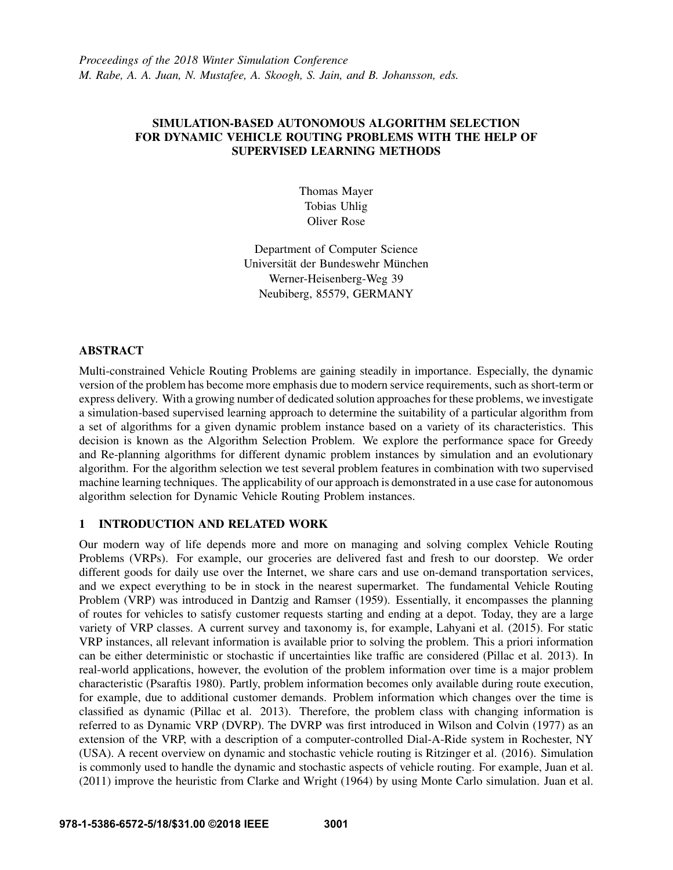# SIMULATION-BASED AUTONOMOUS ALGORITHM SELECTION FOR DYNAMIC VEHICLE ROUTING PROBLEMS WITH THE HELP OF SUPERVISED LEARNING METHODS

Thomas Mayer Tobias Uhlig Oliver Rose

Department of Computer Science Universität der Bundeswehr München Werner-Heisenberg-Weg 39 Neubiberg, 85579, GERMANY

# ABSTRACT

Multi-constrained Vehicle Routing Problems are gaining steadily in importance. Especially, the dynamic version of the problem has become more emphasis due to modern service requirements, such as short-term or express delivery. With a growing number of dedicated solution approaches for these problems, we investigate a simulation-based supervised learning approach to determine the suitability of a particular algorithm from a set of algorithms for a given dynamic problem instance based on a variety of its characteristics. This decision is known as the Algorithm Selection Problem. We explore the performance space for Greedy and Re-planning algorithms for different dynamic problem instances by simulation and an evolutionary algorithm. For the algorithm selection we test several problem features in combination with two supervised machine learning techniques. The applicability of our approach is demonstrated in a use case for autonomous algorithm selection for Dynamic Vehicle Routing Problem instances.

# 1 INTRODUCTION AND RELATED WORK

Our modern way of life depends more and more on managing and solving complex Vehicle Routing Problems (VRPs). For example, our groceries are delivered fast and fresh to our doorstep. We order different goods for daily use over the Internet, we share cars and use on-demand transportation services, and we expect everything to be in stock in the nearest supermarket. The fundamental Vehicle Routing Problem (VRP) was introduced in Dantzig and Ramser (1959). Essentially, it encompasses the planning of routes for vehicles to satisfy customer requests starting and ending at a depot. Today, they are a large variety of VRP classes. A current survey and taxonomy is, for example, Lahyani et al. (2015). For static VRP instances, all relevant information is available prior to solving the problem. This a priori information can be either deterministic or stochastic if uncertainties like traffic are considered (Pillac et al. 2013). In real-world applications, however, the evolution of the problem information over time is a major problem characteristic (Psaraftis 1980). Partly, problem information becomes only available during route execution, for example, due to additional customer demands. Problem information which changes over the time is classified as dynamic (Pillac et al. 2013). Therefore, the problem class with changing information is referred to as Dynamic VRP (DVRP). The DVRP was first introduced in Wilson and Colvin (1977) as an extension of the VRP, with a description of a computer-controlled Dial-A-Ride system in Rochester, NY (USA). A recent overview on dynamic and stochastic vehicle routing is Ritzinger et al. (2016). Simulation is commonly used to handle the dynamic and stochastic aspects of vehicle routing. For example, Juan et al. (2011) improve the heuristic from Clarke and Wright (1964) by using Monte Carlo simulation. Juan et al.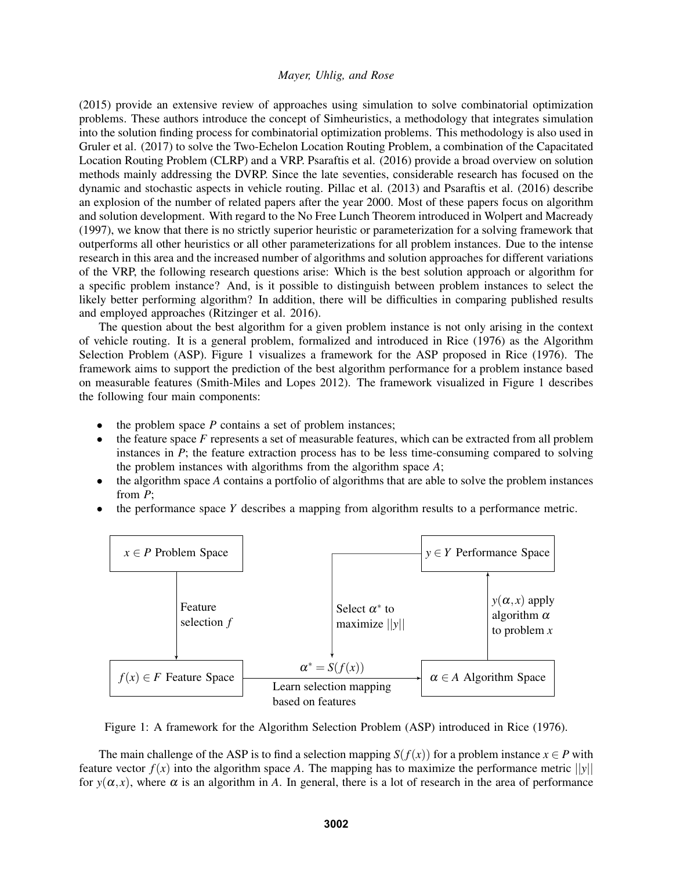(2015) provide an extensive review of approaches using simulation to solve combinatorial optimization problems. These authors introduce the concept of Simheuristics, a methodology that integrates simulation into the solution finding process for combinatorial optimization problems. This methodology is also used in Gruler et al. (2017) to solve the Two-Echelon Location Routing Problem, a combination of the Capacitated Location Routing Problem (CLRP) and a VRP. Psaraftis et al. (2016) provide a broad overview on solution methods mainly addressing the DVRP. Since the late seventies, considerable research has focused on the dynamic and stochastic aspects in vehicle routing. Pillac et al. (2013) and Psaraftis et al. (2016) describe an explosion of the number of related papers after the year 2000. Most of these papers focus on algorithm and solution development. With regard to the No Free Lunch Theorem introduced in Wolpert and Macready (1997), we know that there is no strictly superior heuristic or parameterization for a solving framework that outperforms all other heuristics or all other parameterizations for all problem instances. Due to the intense research in this area and the increased number of algorithms and solution approaches for different variations of the VRP, the following research questions arise: Which is the best solution approach or algorithm for a specific problem instance? And, is it possible to distinguish between problem instances to select the likely better performing algorithm? In addition, there will be difficulties in comparing published results and employed approaches (Ritzinger et al. 2016).

The question about the best algorithm for a given problem instance is not only arising in the context of vehicle routing. It is a general problem, formalized and introduced in Rice (1976) as the Algorithm Selection Problem (ASP). Figure 1 visualizes a framework for the ASP proposed in Rice (1976). The framework aims to support the prediction of the best algorithm performance for a problem instance based on measurable features (Smith-Miles and Lopes 2012). The framework visualized in Figure 1 describes the following four main components:

- the problem space *P* contains a set of problem instances;
- the feature space *F* represents a set of measurable features, which can be extracted from all problem instances in *P*; the feature extraction process has to be less time-consuming compared to solving the problem instances with algorithms from the algorithm space *A*;
- the algorithm space *A* contains a portfolio of algorithms that are able to solve the problem instances from *P*;
- the performance space *Y* describes a mapping from algorithm results to a performance metric.



Figure 1: A framework for the Algorithm Selection Problem (ASP) introduced in Rice (1976).

The main challenge of the ASP is to find a selection mapping  $S(f(x))$  for a problem instance  $x \in P$  with feature vector  $f(x)$  into the algorithm space A. The mapping has to maximize the performance metric  $||y||$ for  $y(\alpha, x)$ , where  $\alpha$  is an algorithm in A. In general, there is a lot of research in the area of performance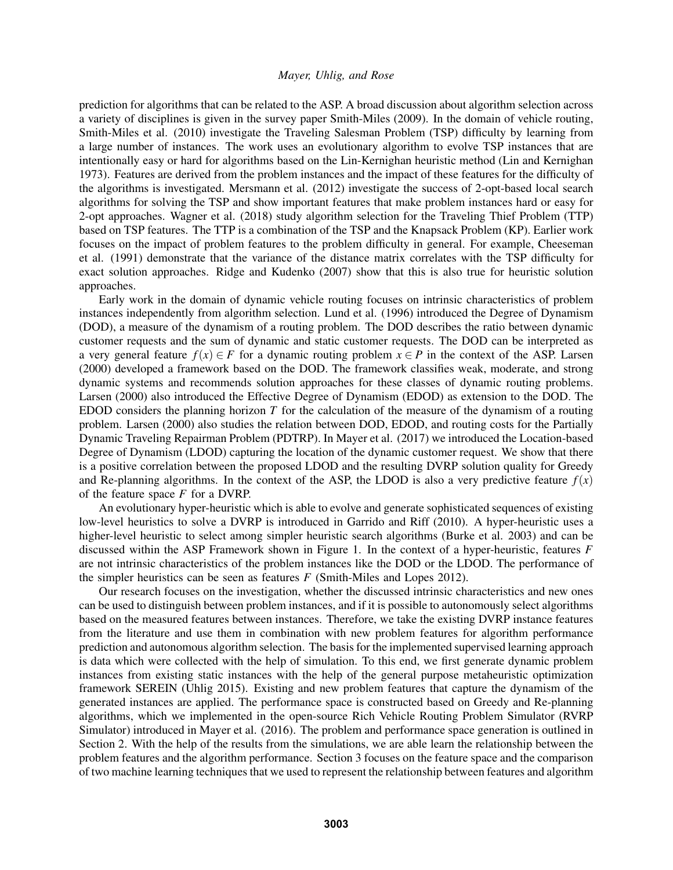prediction for algorithms that can be related to the ASP. A broad discussion about algorithm selection across a variety of disciplines is given in the survey paper Smith-Miles (2009). In the domain of vehicle routing, Smith-Miles et al. (2010) investigate the Traveling Salesman Problem (TSP) difficulty by learning from a large number of instances. The work uses an evolutionary algorithm to evolve TSP instances that are intentionally easy or hard for algorithms based on the Lin-Kernighan heuristic method (Lin and Kernighan 1973). Features are derived from the problem instances and the impact of these features for the difficulty of the algorithms is investigated. Mersmann et al. (2012) investigate the success of 2-opt-based local search algorithms for solving the TSP and show important features that make problem instances hard or easy for 2-opt approaches. Wagner et al. (2018) study algorithm selection for the Traveling Thief Problem (TTP) based on TSP features. The TTP is a combination of the TSP and the Knapsack Problem (KP). Earlier work focuses on the impact of problem features to the problem difficulty in general. For example, Cheeseman et al. (1991) demonstrate that the variance of the distance matrix correlates with the TSP difficulty for exact solution approaches. Ridge and Kudenko (2007) show that this is also true for heuristic solution approaches.

Early work in the domain of dynamic vehicle routing focuses on intrinsic characteristics of problem instances independently from algorithm selection. Lund et al. (1996) introduced the Degree of Dynamism (DOD), a measure of the dynamism of a routing problem. The DOD describes the ratio between dynamic customer requests and the sum of dynamic and static customer requests. The DOD can be interpreted as a very general feature  $f(x) \in F$  for a dynamic routing problem  $x \in P$  in the context of the ASP. Larsen (2000) developed a framework based on the DOD. The framework classifies weak, moderate, and strong dynamic systems and recommends solution approaches for these classes of dynamic routing problems. Larsen (2000) also introduced the Effective Degree of Dynamism (EDOD) as extension to the DOD. The EDOD considers the planning horizon *T* for the calculation of the measure of the dynamism of a routing problem. Larsen (2000) also studies the relation between DOD, EDOD, and routing costs for the Partially Dynamic Traveling Repairman Problem (PDTRP). In Mayer et al. (2017) we introduced the Location-based Degree of Dynamism (LDOD) capturing the location of the dynamic customer request. We show that there is a positive correlation between the proposed LDOD and the resulting DVRP solution quality for Greedy and Re-planning algorithms. In the context of the ASP, the LDOD is also a very predictive feature  $f(x)$ of the feature space *F* for a DVRP.

An evolutionary hyper-heuristic which is able to evolve and generate sophisticated sequences of existing low-level heuristics to solve a DVRP is introduced in Garrido and Riff (2010). A hyper-heuristic uses a higher-level heuristic to select among simpler heuristic search algorithms (Burke et al. 2003) and can be discussed within the ASP Framework shown in Figure 1. In the context of a hyper-heuristic, features *F* are not intrinsic characteristics of the problem instances like the DOD or the LDOD. The performance of the simpler heuristics can be seen as features *F* (Smith-Miles and Lopes 2012).

Our research focuses on the investigation, whether the discussed intrinsic characteristics and new ones can be used to distinguish between problem instances, and if it is possible to autonomously select algorithms based on the measured features between instances. Therefore, we take the existing DVRP instance features from the literature and use them in combination with new problem features for algorithm performance prediction and autonomous algorithm selection. The basis for the implemented supervised learning approach is data which were collected with the help of simulation. To this end, we first generate dynamic problem instances from existing static instances with the help of the general purpose metaheuristic optimization framework SEREIN (Uhlig 2015). Existing and new problem features that capture the dynamism of the generated instances are applied. The performance space is constructed based on Greedy and Re-planning algorithms, which we implemented in the open-source Rich Vehicle Routing Problem Simulator (RVRP Simulator) introduced in Mayer et al. (2016). The problem and performance space generation is outlined in Section 2. With the help of the results from the simulations, we are able learn the relationship between the problem features and the algorithm performance. Section 3 focuses on the feature space and the comparison of two machine learning techniques that we used to represent the relationship between features and algorithm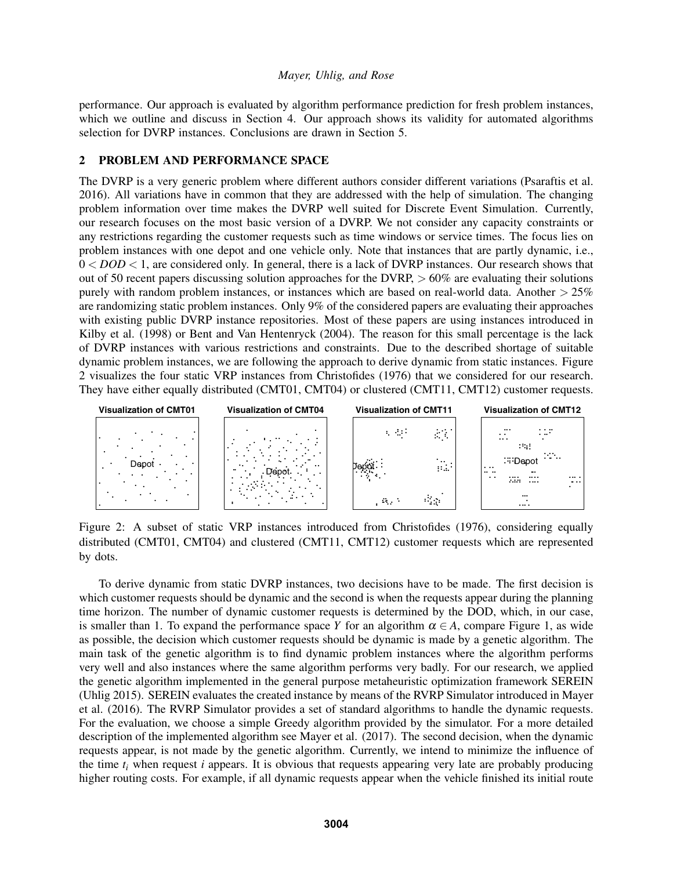performance. Our approach is evaluated by algorithm performance prediction for fresh problem instances, which we outline and discuss in Section 4. Our approach shows its validity for automated algorithms selection for DVRP instances. Conclusions are drawn in Section 5.

### 2 PROBLEM AND PERFORMANCE SPACE

The DVRP is a very generic problem where different authors consider different variations (Psaraftis et al. 2016). All variations have in common that they are addressed with the help of simulation. The changing problem information over time makes the DVRP well suited for Discrete Event Simulation. Currently, our research focuses on the most basic version of a DVRP. We not consider any capacity constraints or any restrictions regarding the customer requests such as time windows or service times. The focus lies on problem instances with one depot and one vehicle only. Note that instances that are partly dynamic, i.e.,  $0 < DOD < 1$ , are considered only. In general, there is a lack of DVRP instances. Our research shows that out of 50 recent papers discussing solution approaches for the DVRP,  $> 60\%$  are evaluating their solutions purely with random problem instances, or instances which are based on real-world data. Another  $> 25\%$ are randomizing static problem instances. Only 9% of the considered papers are evaluating their approaches with existing public DVRP instance repositories. Most of these papers are using instances introduced in Kilby et al. (1998) or Bent and Van Hentenryck (2004). The reason for this small percentage is the lack of DVRP instances with various restrictions and constraints. Due to the described shortage of suitable dynamic problem instances, we are following the approach to derive dynamic from static instances. Figure 2 visualizes the four static VRP instances from Christofides (1976) that we considered for our research. They have either equally distributed (CMT01, CMT04) or clustered (CMT11, CMT12) customer requests.



Figure 2: A subset of static VRP instances introduced from Christofides (1976), considering equally distributed (CMT01, CMT04) and clustered (CMT11, CMT12) customer requests which are represented by dots.

To derive dynamic from static DVRP instances, two decisions have to be made. The first decision is which customer requests should be dynamic and the second is when the requests appear during the planning time horizon. The number of dynamic customer requests is determined by the DOD, which, in our case, is smaller than 1. To expand the performance space *Y* for an algorithm  $\alpha \in A$ , compare Figure 1, as wide as possible, the decision which customer requests should be dynamic is made by a genetic algorithm. The main task of the genetic algorithm is to find dynamic problem instances where the algorithm performs very well and also instances where the same algorithm performs very badly. For our research, we applied the genetic algorithm implemented in the general purpose metaheuristic optimization framework SEREIN (Uhlig 2015). SEREIN evaluates the created instance by means of the RVRP Simulator introduced in Mayer et al. (2016). The RVRP Simulator provides a set of standard algorithms to handle the dynamic requests. For the evaluation, we choose a simple Greedy algorithm provided by the simulator. For a more detailed description of the implemented algorithm see Mayer et al. (2017). The second decision, when the dynamic requests appear, is not made by the genetic algorithm. Currently, we intend to minimize the influence of the time  $t_i$  when request *i* appears. It is obvious that requests appearing very late are probably producing higher routing costs. For example, if all dynamic requests appear when the vehicle finished its initial route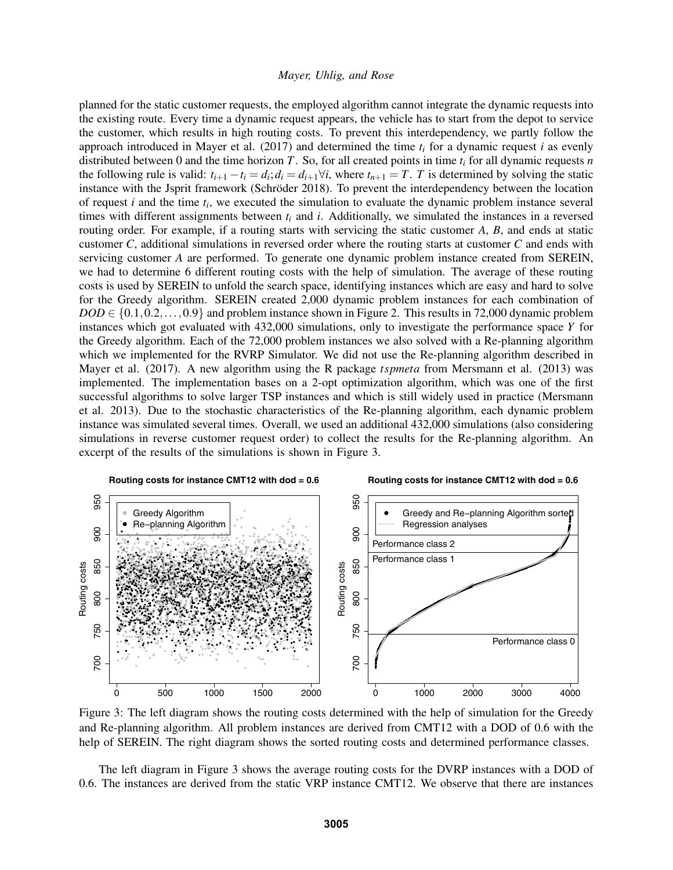planned for the static customer requests, the employed algorithm cannot integrate the dynamic requests into the existing route. Every time a dynamic request appears, the vehicle has to start from the depot to service the customer, which results in high routing costs. To prevent this interdependency, we partly follow the approach introduced in Mayer et al. (2017) and determined the time  $t_i$  for a dynamic request  $i$  as evenly distributed between 0 and the time horizon *T*. So, for all created points in time *t<sup>i</sup>* for all dynamic requests *n* the following rule is valid:  $t_{i+1} - t_i = d_i; d_i = d_{i+1} \forall i$ , where  $t_{n+1} = T$ . *T* is determined by solving the static instance with the Jsprit framework (Schröder 2018). To prevent the interdependency between the location of request *i* and the time *t<sup>i</sup>* , we executed the simulation to evaluate the dynamic problem instance several times with different assignments between  $t_i$  and  $i$ . Additionally, we simulated the instances in a reversed routing order. For example, if a routing starts with servicing the static customer *A*, *B*, and ends at static customer *C*, additional simulations in reversed order where the routing starts at customer *C* and ends with servicing customer *A* are performed. To generate one dynamic problem instance created from SEREIN, we had to determine 6 different routing costs with the help of simulation. The average of these routing costs is used by SEREIN to unfold the search space, identifying instances which are easy and hard to solve for the Greedy algorithm. SEREIN created 2,000 dynamic problem instances for each combination of  $DOD \in \{0.1, 0.2, \ldots, 0.9\}$  and problem instance shown in Figure 2. This results in 72,000 dynamic problem instances which got evaluated with 432,000 simulations, only to investigate the performance space *Y* for the Greedy algorithm. Each of the 72,000 problem instances we also solved with a Re-planning algorithm which we implemented for the RVRP Simulator. We did not use the Re-planning algorithm described in Mayer et al. (2017). A new algorithm using the R package *tspmeta* from Mersmann et al. (2013) was implemented. The implementation bases on a 2-opt optimization algorithm, which was one of the first successful algorithms to solve larger TSP instances and which is still widely used in practice (Mersmann et al. 2013). Due to the stochastic characteristics of the Re-planning algorithm, each dynamic problem instance was simulated several times. Overall, we used an additional 432,000 simulations (also considering simulations in reverse customer request order) to collect the results for the Re-planning algorithm. An excerpt of the results of the simulations is shown in Figure 3.



Figure 3: The left diagram shows the routing costs determined with the help of simulation for the Greedy and Re-planning algorithm. All problem instances are derived from CMT12 with a DOD of 0.6 with the help of SEREIN. The right diagram shows the sorted routing costs and determined performance classes.

The left diagram in Figure 3 shows the average routing costs for the DVRP instances with a DOD of 0.6. The instances are derived from the static VRP instance CMT12. We observe that there are instances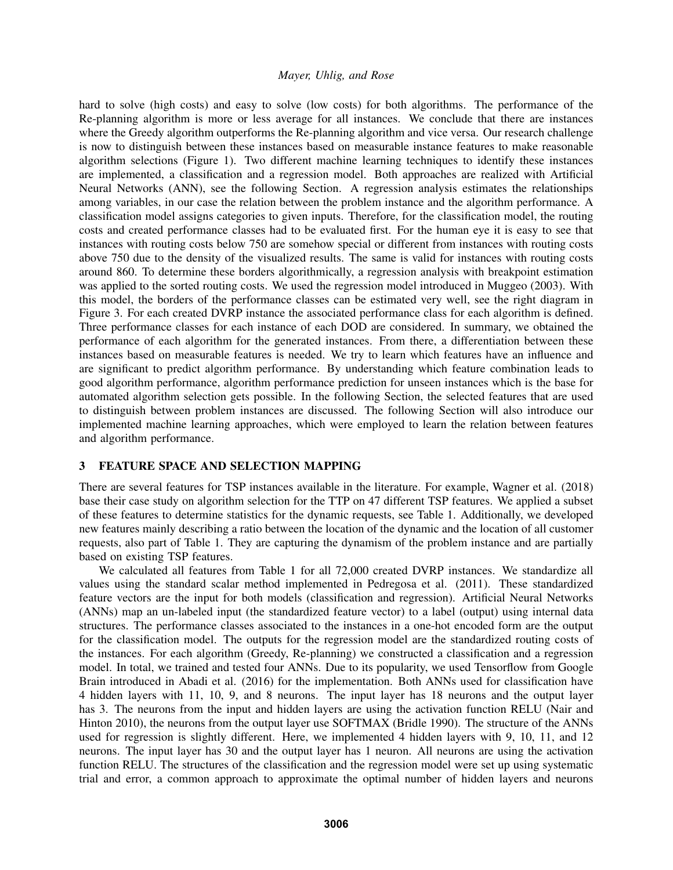hard to solve (high costs) and easy to solve (low costs) for both algorithms. The performance of the Re-planning algorithm is more or less average for all instances. We conclude that there are instances where the Greedy algorithm outperforms the Re-planning algorithm and vice versa. Our research challenge is now to distinguish between these instances based on measurable instance features to make reasonable algorithm selections (Figure 1). Two different machine learning techniques to identify these instances are implemented, a classification and a regression model. Both approaches are realized with Artificial Neural Networks (ANN), see the following Section. A regression analysis estimates the relationships among variables, in our case the relation between the problem instance and the algorithm performance. A classification model assigns categories to given inputs. Therefore, for the classification model, the routing costs and created performance classes had to be evaluated first. For the human eye it is easy to see that instances with routing costs below 750 are somehow special or different from instances with routing costs above 750 due to the density of the visualized results. The same is valid for instances with routing costs around 860. To determine these borders algorithmically, a regression analysis with breakpoint estimation was applied to the sorted routing costs. We used the regression model introduced in Muggeo (2003). With this model, the borders of the performance classes can be estimated very well, see the right diagram in Figure 3. For each created DVRP instance the associated performance class for each algorithm is defined. Three performance classes for each instance of each DOD are considered. In summary, we obtained the performance of each algorithm for the generated instances. From there, a differentiation between these instances based on measurable features is needed. We try to learn which features have an influence and are significant to predict algorithm performance. By understanding which feature combination leads to good algorithm performance, algorithm performance prediction for unseen instances which is the base for automated algorithm selection gets possible. In the following Section, the selected features that are used to distinguish between problem instances are discussed. The following Section will also introduce our implemented machine learning approaches, which were employed to learn the relation between features and algorithm performance.

## 3 FEATURE SPACE AND SELECTION MAPPING

There are several features for TSP instances available in the literature. For example, Wagner et al. (2018) base their case study on algorithm selection for the TTP on 47 different TSP features. We applied a subset of these features to determine statistics for the dynamic requests, see Table 1. Additionally, we developed new features mainly describing a ratio between the location of the dynamic and the location of all customer requests, also part of Table 1. They are capturing the dynamism of the problem instance and are partially based on existing TSP features.

We calculated all features from Table 1 for all 72,000 created DVRP instances. We standardize all values using the standard scalar method implemented in Pedregosa et al. (2011). These standardized feature vectors are the input for both models (classification and regression). Artificial Neural Networks (ANNs) map an un-labeled input (the standardized feature vector) to a label (output) using internal data structures. The performance classes associated to the instances in a one-hot encoded form are the output for the classification model. The outputs for the regression model are the standardized routing costs of the instances. For each algorithm (Greedy, Re-planning) we constructed a classification and a regression model. In total, we trained and tested four ANNs. Due to its popularity, we used Tensorflow from Google Brain introduced in Abadi et al. (2016) for the implementation. Both ANNs used for classification have 4 hidden layers with 11, 10, 9, and 8 neurons. The input layer has 18 neurons and the output layer has 3. The neurons from the input and hidden layers are using the activation function RELU (Nair and Hinton 2010), the neurons from the output layer use SOFTMAX (Bridle 1990). The structure of the ANNs used for regression is slightly different. Here, we implemented 4 hidden layers with 9, 10, 11, and 12 neurons. The input layer has 30 and the output layer has 1 neuron. All neurons are using the activation function RELU. The structures of the classification and the regression model were set up using systematic trial and error, a common approach to approximate the optimal number of hidden layers and neurons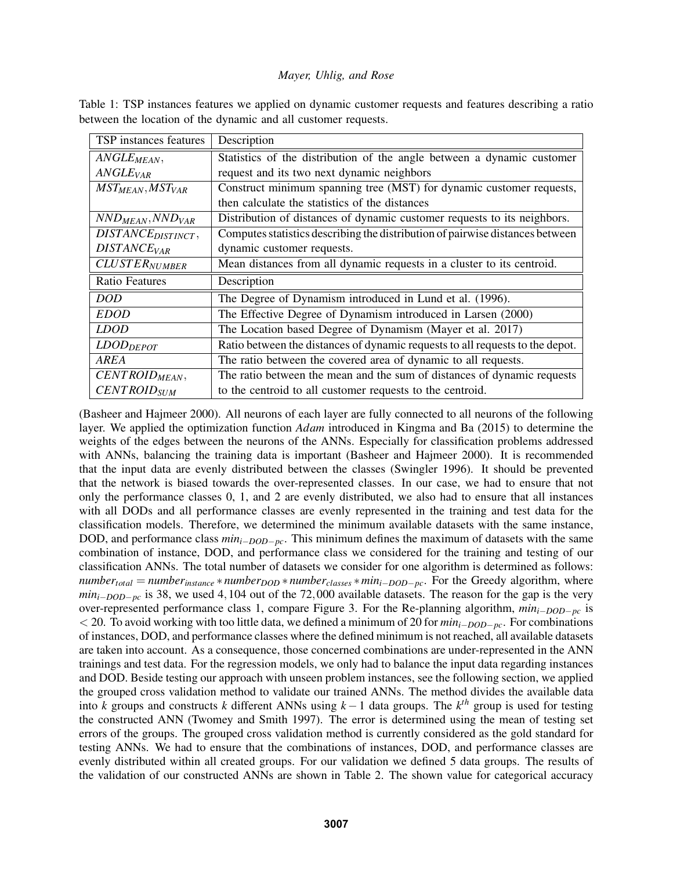| TSP instances features            | Description                                                                   |  |  |  |  |
|-----------------------------------|-------------------------------------------------------------------------------|--|--|--|--|
| $\textit{ANGLE}_{\textit{MEAN}},$ | Statistics of the distribution of the angle between a dynamic customer        |  |  |  |  |
| $\textit{ANGLE}_{\textit{VAR}}$   | request and its two next dynamic neighbors                                    |  |  |  |  |
| $MST_{MEAN}, MST_{VAR}$           | Construct minimum spanning tree (MST) for dynamic customer requests,          |  |  |  |  |
|                                   | then calculate the statistics of the distances                                |  |  |  |  |
| $NND_{MEAN}, NND_{VAR}$           | Distribution of distances of dynamic customer requests to its neighbors.      |  |  |  |  |
| DISTANCE <sub>DISTINCT</sub> ,    | Computes statistics describing the distribution of pairwise distances between |  |  |  |  |
| <b>DISTANCE<sub>VAR</sub></b>     | dynamic customer requests.                                                    |  |  |  |  |
| <b>CLUSTERNUMBER</b>              | Mean distances from all dynamic requests in a cluster to its centroid.        |  |  |  |  |
| <b>Ratio Features</b>             | Description                                                                   |  |  |  |  |
| <i>DOD</i>                        | The Degree of Dynamism introduced in Lund et al. (1996).                      |  |  |  |  |
| <b>EDOD</b>                       | The Effective Degree of Dynamism introduced in Larsen (2000)                  |  |  |  |  |
| <b>LDOD</b>                       | The Location based Degree of Dynamism (Mayer et al. 2017)                     |  |  |  |  |
| LDOD <sub>DEPOT</sub>             | Ratio between the distances of dynamic requests to all requests to the depot. |  |  |  |  |
| AREA                              | The ratio between the covered area of dynamic to all requests.                |  |  |  |  |
| CENTROID <sub>MEAN</sub> ,        | The ratio between the mean and the sum of distances of dynamic requests       |  |  |  |  |
| <b>CENTROID</b> SUM               | to the centroid to all customer requests to the centroid.                     |  |  |  |  |

Table 1: TSP instances features we applied on dynamic customer requests and features describing a ratio between the location of the dynamic and all customer requests.

(Basheer and Hajmeer 2000). All neurons of each layer are fully connected to all neurons of the following layer. We applied the optimization function *Adam* introduced in Kingma and Ba (2015) to determine the weights of the edges between the neurons of the ANNs. Especially for classification problems addressed with ANNs, balancing the training data is important (Basheer and Hajmeer 2000). It is recommended that the input data are evenly distributed between the classes (Swingler 1996). It should be prevented that the network is biased towards the over-represented classes. In our case, we had to ensure that not only the performance classes 0, 1, and 2 are evenly distributed, we also had to ensure that all instances with all DODs and all performance classes are evenly represented in the training and test data for the classification models. Therefore, we determined the minimum available datasets with the same instance, DOD, and performance class *mini*−*DOD*−*pc*. This minimum defines the maximum of datasets with the same combination of instance, DOD, and performance class we considered for the training and testing of our classification ANNs. The total number of datasets we consider for one algorithm is determined as follows: *number<sub>total</sub>* = *number<sub>instance* \* *number<sub>DOD</sub>* \* *number<sub>classes</sub>* \*  $min_{i-DOD-pc}$ . For the Greedy algorithm, where</sub> *min*<sub>*i*−*DOD−<sub>pc</sub>* is 38, we used 4,104 out of the 72,000 available datasets. The reason for the gap is the very</sub> over-represented performance class 1, compare Figure 3. For the Re-planning algorithm, *mini*−*DOD*−*pc* is < 20. To avoid working with too little data, we defined a minimum of 20 for *mini*−*DOD*−*pc*. For combinations of instances, DOD, and performance classes where the defined minimum is not reached, all available datasets are taken into account. As a consequence, those concerned combinations are under-represented in the ANN trainings and test data. For the regression models, we only had to balance the input data regarding instances and DOD. Beside testing our approach with unseen problem instances, see the following section, we applied the grouped cross validation method to validate our trained ANNs. The method divides the available data into *k* groups and constructs *k* different ANNs using *k* −1 data groups. The *k th* group is used for testing the constructed ANN (Twomey and Smith 1997). The error is determined using the mean of testing set errors of the groups. The grouped cross validation method is currently considered as the gold standard for testing ANNs. We had to ensure that the combinations of instances, DOD, and performance classes are evenly distributed within all created groups. For our validation we defined 5 data groups. The results of the validation of our constructed ANNs are shown in Table 2. The shown value for categorical accuracy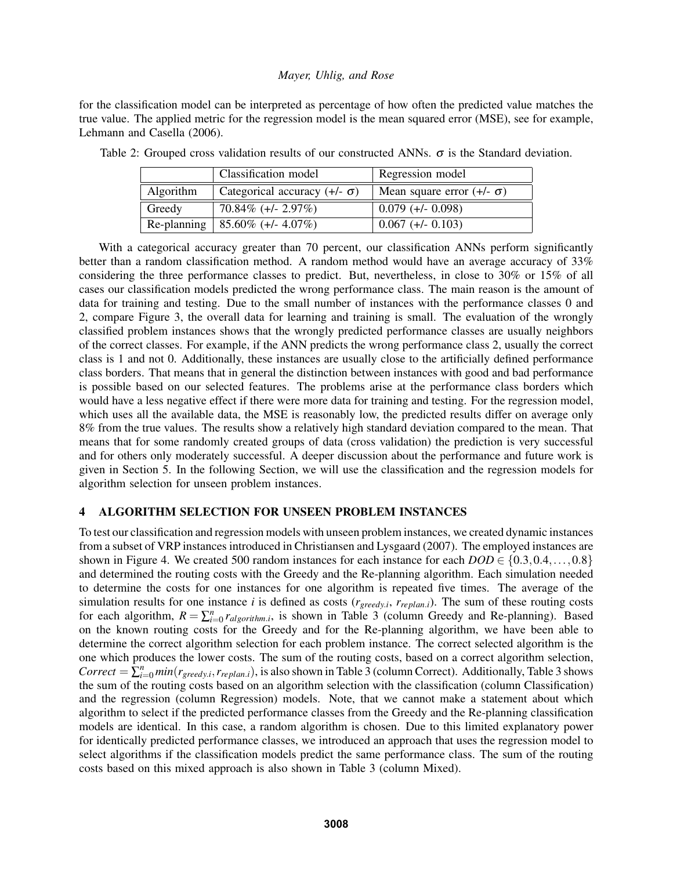for the classification model can be interpreted as percentage of how often the predicted value matches the true value. The applied metric for the regression model is the mean squared error (MSE), see for example, Lehmann and Casella (2006).

|             | Classification model                | Regression model                 |  |  |
|-------------|-------------------------------------|----------------------------------|--|--|
| Algorithm   | Categorical accuracy $(+/- \sigma)$ | Mean square error $(+/- \sigma)$ |  |  |
| Greedy      | $70.84\%$ (+/- 2.97%)               | $0.079$ (+/- 0.098)              |  |  |
| Re-planning | $85.60\%$ (+/- 4.07%)               | $0.067$ (+/- 0.103)              |  |  |

Table 2: Grouped cross validation results of our constructed ANNs.  $\sigma$  is the Standard deviation.

With a categorical accuracy greater than 70 percent, our classification ANNs perform significantly better than a random classification method. A random method would have an average accuracy of 33% considering the three performance classes to predict. But, nevertheless, in close to 30% or 15% of all cases our classification models predicted the wrong performance class. The main reason is the amount of data for training and testing. Due to the small number of instances with the performance classes 0 and 2, compare Figure 3, the overall data for learning and training is small. The evaluation of the wrongly classified problem instances shows that the wrongly predicted performance classes are usually neighbors of the correct classes. For example, if the ANN predicts the wrong performance class 2, usually the correct class is 1 and not 0. Additionally, these instances are usually close to the artificially defined performance class borders. That means that in general the distinction between instances with good and bad performance is possible based on our selected features. The problems arise at the performance class borders which would have a less negative effect if there were more data for training and testing. For the regression model, which uses all the available data, the MSE is reasonably low, the predicted results differ on average only 8% from the true values. The results show a relatively high standard deviation compared to the mean. That means that for some randomly created groups of data (cross validation) the prediction is very successful and for others only moderately successful. A deeper discussion about the performance and future work is given in Section 5. In the following Section, we will use the classification and the regression models for algorithm selection for unseen problem instances.

## 4 ALGORITHM SELECTION FOR UNSEEN PROBLEM INSTANCES

To test our classification and regression models with unseen problem instances, we created dynamic instances from a subset of VRP instances introduced in Christiansen and Lysgaard (2007). The employed instances are shown in Figure 4. We created 500 random instances for each instance for each  $DOD \in \{0.3, 0.4, ..., 0.8\}$ and determined the routing costs with the Greedy and the Re-planning algorithm. Each simulation needed to determine the costs for one instances for one algorithm is repeated five times. The average of the simulation results for one instance *i* is defined as costs  $(r_{greedy.i}, r_{replan.i})$ . The sum of these routing costs for each algorithm,  $R = \sum_{i=0}^{n} r_{algorithm,i}$ , is shown in Table 3 (column Greedy and Re-planning). Based on the known routing costs for the Greedy and for the Re-planning algorithm, we have been able to determine the correct algorithm selection for each problem instance. The correct selected algorithm is the one which produces the lower costs. The sum of the routing costs, based on a correct algorithm selection,  $Correct = \sum_{i=0}^{n} min(r_{greedy.i}, r_{replan.i})$ , is also shown in Table 3 (column Correct). Additionally, Table 3 shows the sum of the routing costs based on an algorithm selection with the classification (column Classification) and the regression (column Regression) models. Note, that we cannot make a statement about which algorithm to select if the predicted performance classes from the Greedy and the Re-planning classification models are identical. In this case, a random algorithm is chosen. Due to this limited explanatory power for identically predicted performance classes, we introduced an approach that uses the regression model to select algorithms if the classification models predict the same performance class. The sum of the routing costs based on this mixed approach is also shown in Table 3 (column Mixed).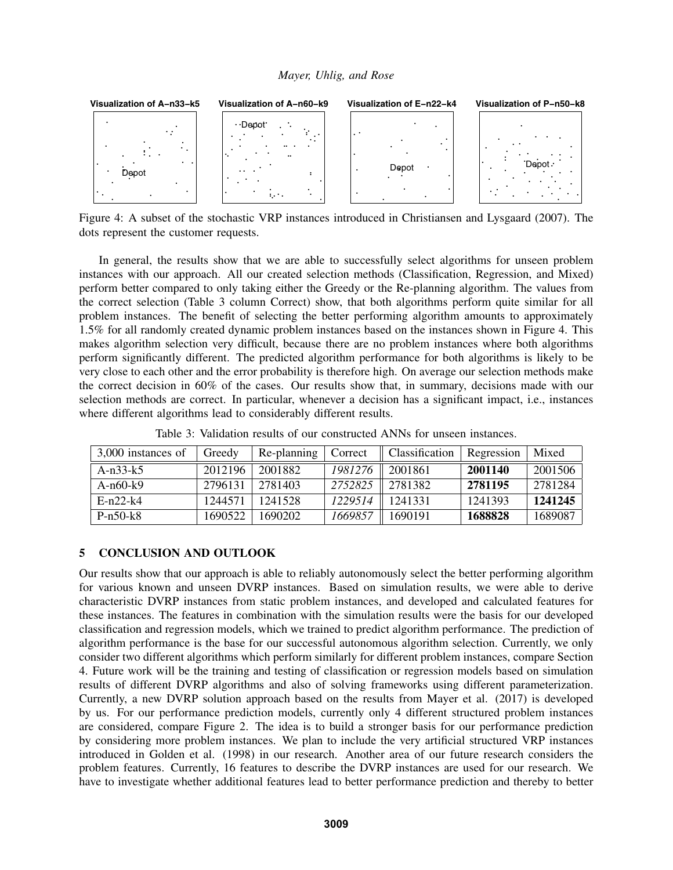

Figure 4: A subset of the stochastic VRP instances introduced in Christiansen and Lysgaard (2007). The dots represent the customer requests.

In general, the results show that we are able to successfully select algorithms for unseen problem instances with our approach. All our created selection methods (Classification, Regression, and Mixed) perform better compared to only taking either the Greedy or the Re-planning algorithm. The values from the correct selection (Table 3 column Correct) show, that both algorithms perform quite similar for all problem instances. The benefit of selecting the better performing algorithm amounts to approximately 1.5% for all randomly created dynamic problem instances based on the instances shown in Figure 4. This makes algorithm selection very difficult, because there are no problem instances where both algorithms perform significantly different. The predicted algorithm performance for both algorithms is likely to be very close to each other and the error probability is therefore high. On average our selection methods make the correct decision in 60% of the cases. Our results show that, in summary, decisions made with our selection methods are correct. In particular, whenever a decision has a significant impact, i.e., instances where different algorithms lead to considerably different results.

Table 3: Validation results of our constructed ANNs for unseen instances.

| 3,000 instances of | Greedy  | Re-planning | Correct | Classification | Regression | Mixed   |
|--------------------|---------|-------------|---------|----------------|------------|---------|
| A- $n33-k5$        | 2012196 | 2001882     | 1981276 | 2001861        | 2001140    | 2001506 |
| A- $n60$ -k9       | 2796131 | 2781403     | 2752825 | 2781382        | 2781195    | 2781284 |
| $E-n22-k4$         | 1244571 | 1241528     | 1229514 | 1241331        | 1241393    | 1241245 |
| $P-n50-k8$         | 1690522 | 1690202     | 1669857 | 1690191        | 1688828    | 1689087 |

### 5 CONCLUSION AND OUTLOOK

Our results show that our approach is able to reliably autonomously select the better performing algorithm for various known and unseen DVRP instances. Based on simulation results, we were able to derive characteristic DVRP instances from static problem instances, and developed and calculated features for these instances. The features in combination with the simulation results were the basis for our developed classification and regression models, which we trained to predict algorithm performance. The prediction of algorithm performance is the base for our successful autonomous algorithm selection. Currently, we only consider two different algorithms which perform similarly for different problem instances, compare Section 4. Future work will be the training and testing of classification or regression models based on simulation results of different DVRP algorithms and also of solving frameworks using different parameterization. Currently, a new DVRP solution approach based on the results from Mayer et al. (2017) is developed by us. For our performance prediction models, currently only 4 different structured problem instances are considered, compare Figure 2. The idea is to build a stronger basis for our performance prediction by considering more problem instances. We plan to include the very artificial structured VRP instances introduced in Golden et al. (1998) in our research. Another area of our future research considers the problem features. Currently, 16 features to describe the DVRP instances are used for our research. We have to investigate whether additional features lead to better performance prediction and thereby to better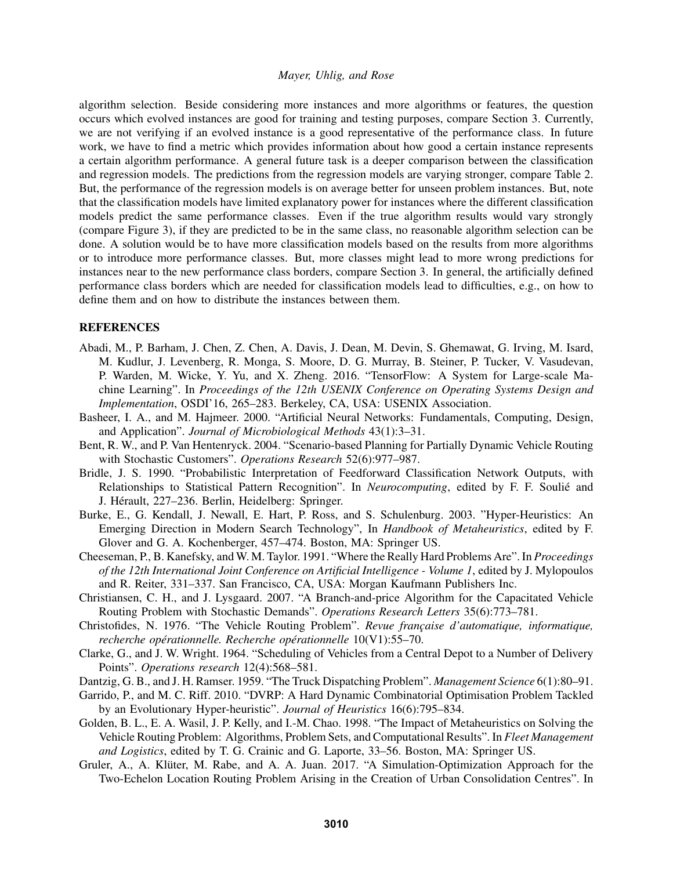algorithm selection. Beside considering more instances and more algorithms or features, the question occurs which evolved instances are good for training and testing purposes, compare Section 3. Currently, we are not verifying if an evolved instance is a good representative of the performance class. In future work, we have to find a metric which provides information about how good a certain instance represents a certain algorithm performance. A general future task is a deeper comparison between the classification and regression models. The predictions from the regression models are varying stronger, compare Table 2. But, the performance of the regression models is on average better for unseen problem instances. But, note that the classification models have limited explanatory power for instances where the different classification models predict the same performance classes. Even if the true algorithm results would vary strongly (compare Figure 3), if they are predicted to be in the same class, no reasonable algorithm selection can be done. A solution would be to have more classification models based on the results from more algorithms or to introduce more performance classes. But, more classes might lead to more wrong predictions for instances near to the new performance class borders, compare Section 3. In general, the artificially defined performance class borders which are needed for classification models lead to difficulties, e.g., on how to define them and on how to distribute the instances between them.

### REFERENCES

- Abadi, M., P. Barham, J. Chen, Z. Chen, A. Davis, J. Dean, M. Devin, S. Ghemawat, G. Irving, M. Isard, M. Kudlur, J. Levenberg, R. Monga, S. Moore, D. G. Murray, B. Steiner, P. Tucker, V. Vasudevan, P. Warden, M. Wicke, Y. Yu, and X. Zheng. 2016. "TensorFlow: A System for Large-scale Machine Learning". In *Proceedings of the 12th USENIX Conference on Operating Systems Design and Implementation*, OSDI'16, 265–283. Berkeley, CA, USA: USENIX Association.
- Basheer, I. A., and M. Hajmeer. 2000. "Artificial Neural Networks: Fundamentals, Computing, Design, and Application". *Journal of Microbiological Methods* 43(1):3–31.
- Bent, R. W., and P. Van Hentenryck. 2004. "Scenario-based Planning for Partially Dynamic Vehicle Routing with Stochastic Customers". *Operations Research* 52(6):977–987.
- Bridle, J. S. 1990. "Probabilistic Interpretation of Feedforward Classification Network Outputs, with Relationships to Statistical Pattern Recognition". In *Neurocomputing*, edited by F. F. Soulie and ´ J. Herault, 227–236. Berlin, Heidelberg: Springer. ´
- Burke, E., G. Kendall, J. Newall, E. Hart, P. Ross, and S. Schulenburg. 2003. "Hyper-Heuristics: An Emerging Direction in Modern Search Technology", In *Handbook of Metaheuristics*, edited by F. Glover and G. A. Kochenberger, 457–474. Boston, MA: Springer US.
- Cheeseman, P., B. Kanefsky, and W. M. Taylor. 1991. "Where the Really Hard Problems Are". In *Proceedings of the 12th International Joint Conference on Artificial Intelligence - Volume 1*, edited by J. Mylopoulos and R. Reiter, 331–337. San Francisco, CA, USA: Morgan Kaufmann Publishers Inc.
- Christiansen, C. H., and J. Lysgaard. 2007. "A Branch-and-price Algorithm for the Capacitated Vehicle Routing Problem with Stochastic Demands". *Operations Research Letters* 35(6):773–781.
- Christofides, N. 1976. "The Vehicle Routing Problem". *Revue française d'automatique, informatique, recherche operationnelle. Recherche op ´ erationnelle ´* 10(V1):55–70.
- Clarke, G., and J. W. Wright. 1964. "Scheduling of Vehicles from a Central Depot to a Number of Delivery Points". *Operations research* 12(4):568–581.
- Dantzig, G. B., and J. H. Ramser. 1959. "The Truck Dispatching Problem". *Management Science* 6(1):80–91.
- Garrido, P., and M. C. Riff. 2010. "DVRP: A Hard Dynamic Combinatorial Optimisation Problem Tackled by an Evolutionary Hyper-heuristic". *Journal of Heuristics* 16(6):795–834.
- Golden, B. L., E. A. Wasil, J. P. Kelly, and I.-M. Chao. 1998. "The Impact of Metaheuristics on Solving the Vehicle Routing Problem: Algorithms, Problem Sets, and Computational Results". In *Fleet Management and Logistics*, edited by T. G. Crainic and G. Laporte, 33–56. Boston, MA: Springer US.
- Gruler, A., A. Klüter, M. Rabe, and A. A. Juan. 2017. "A Simulation-Optimization Approach for the Two-Echelon Location Routing Problem Arising in the Creation of Urban Consolidation Centres". In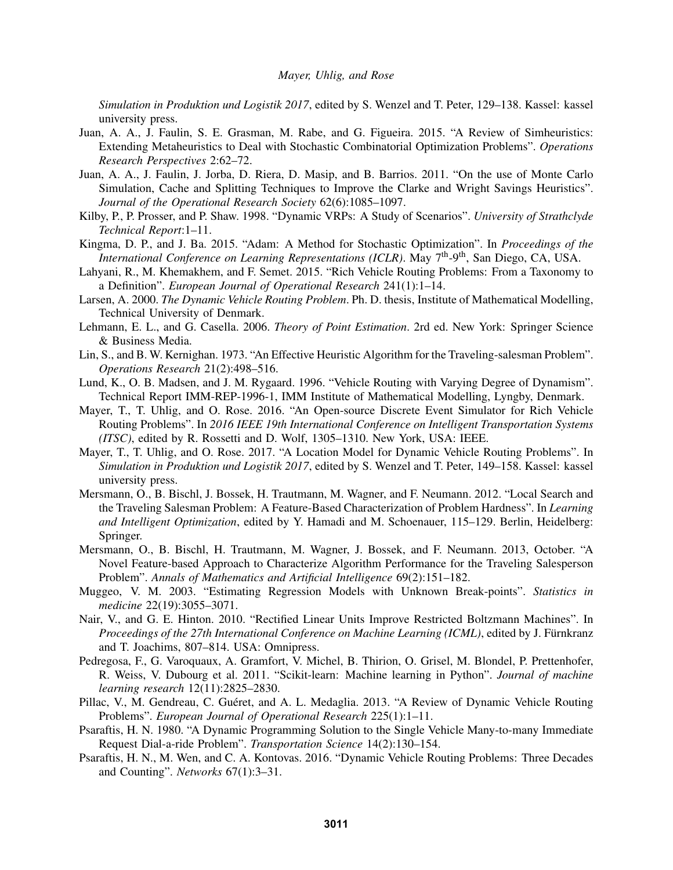*Simulation in Produktion und Logistik 2017*, edited by S. Wenzel and T. Peter, 129–138. Kassel: kassel university press.

- Juan, A. A., J. Faulin, S. E. Grasman, M. Rabe, and G. Figueira. 2015. "A Review of Simheuristics: Extending Metaheuristics to Deal with Stochastic Combinatorial Optimization Problems". *Operations Research Perspectives* 2:62–72.
- Juan, A. A., J. Faulin, J. Jorba, D. Riera, D. Masip, and B. Barrios. 2011. "On the use of Monte Carlo Simulation, Cache and Splitting Techniques to Improve the Clarke and Wright Savings Heuristics". *Journal of the Operational Research Society* 62(6):1085–1097.
- Kilby, P., P. Prosser, and P. Shaw. 1998. "Dynamic VRPs: A Study of Scenarios". *University of Strathclyde Technical Report*:1–11.
- Kingma, D. P., and J. Ba. 2015. "Adam: A Method for Stochastic Optimization". In *Proceedings of the International Conference on Learning Representations (ICLR)*. May 7<sup>th</sup>-9<sup>th</sup>, San Diego, CA, USA.
- Lahyani, R., M. Khemakhem, and F. Semet. 2015. "Rich Vehicle Routing Problems: From a Taxonomy to a Definition". *European Journal of Operational Research* 241(1):1–14.
- Larsen, A. 2000. *The Dynamic Vehicle Routing Problem*. Ph. D. thesis, Institute of Mathematical Modelling, Technical University of Denmark.
- Lehmann, E. L., and G. Casella. 2006. *Theory of Point Estimation*. 2rd ed. New York: Springer Science & Business Media.
- Lin, S., and B. W. Kernighan. 1973. "An Effective Heuristic Algorithm for the Traveling-salesman Problem". *Operations Research* 21(2):498–516.
- Lund, K., O. B. Madsen, and J. M. Rygaard. 1996. "Vehicle Routing with Varying Degree of Dynamism". Technical Report IMM-REP-1996-1, IMM Institute of Mathematical Modelling, Lyngby, Denmark.
- Mayer, T., T. Uhlig, and O. Rose. 2016. "An Open-source Discrete Event Simulator for Rich Vehicle Routing Problems". In *2016 IEEE 19th International Conference on Intelligent Transportation Systems (ITSC)*, edited by R. Rossetti and D. Wolf, 1305–1310. New York, USA: IEEE.
- Mayer, T., T. Uhlig, and O. Rose. 2017. "A Location Model for Dynamic Vehicle Routing Problems". In *Simulation in Produktion und Logistik 2017*, edited by S. Wenzel and T. Peter, 149–158. Kassel: kassel university press.
- Mersmann, O., B. Bischl, J. Bossek, H. Trautmann, M. Wagner, and F. Neumann. 2012. "Local Search and the Traveling Salesman Problem: A Feature-Based Characterization of Problem Hardness". In *Learning and Intelligent Optimization*, edited by Y. Hamadi and M. Schoenauer, 115–129. Berlin, Heidelberg: Springer.
- Mersmann, O., B. Bischl, H. Trautmann, M. Wagner, J. Bossek, and F. Neumann. 2013, October. "A Novel Feature-based Approach to Characterize Algorithm Performance for the Traveling Salesperson Problem". *Annals of Mathematics and Artificial Intelligence* 69(2):151–182.
- Muggeo, V. M. 2003. "Estimating Regression Models with Unknown Break-points". *Statistics in medicine* 22(19):3055–3071.
- Nair, V., and G. E. Hinton. 2010. "Rectified Linear Units Improve Restricted Boltzmann Machines". In *Proceedings of the 27th International Conference on Machine Learning (ICML)*, edited by J. Fürnkranz and T. Joachims, 807–814. USA: Omnipress.
- Pedregosa, F., G. Varoquaux, A. Gramfort, V. Michel, B. Thirion, O. Grisel, M. Blondel, P. Prettenhofer, R. Weiss, V. Dubourg et al. 2011. "Scikit-learn: Machine learning in Python". *Journal of machine learning research* 12(11):2825–2830.
- Pillac, V., M. Gendreau, C. Guéret, and A. L. Medaglia. 2013. "A Review of Dynamic Vehicle Routing Problems". *European Journal of Operational Research* 225(1):1–11.
- Psaraftis, H. N. 1980. "A Dynamic Programming Solution to the Single Vehicle Many-to-many Immediate Request Dial-a-ride Problem". *Transportation Science* 14(2):130–154.
- Psaraftis, H. N., M. Wen, and C. A. Kontovas. 2016. "Dynamic Vehicle Routing Problems: Three Decades and Counting". *Networks* 67(1):3–31.